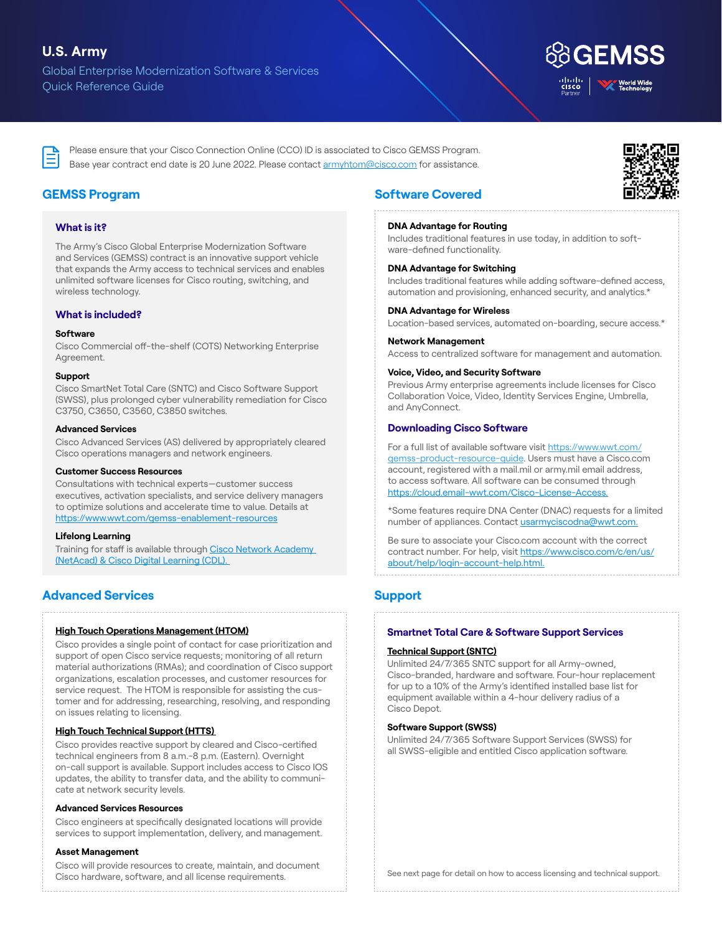# **U.S. Army**

Global Enterprise Modernization Software & Services Quick Reference Guide



Please ensure that your Cisco Connection Online (CCO) ID is associated to Cisco GEMSS Program. Base year contract end date is 20 June 2022. Please contact [armyhtom@cisco.com](mailto:armyhtom%40cisco.com?subject=) for assistance.



# **GEMSS Program**

# **What is it?**

The Army's Cisco Global Enterprise Modernization Software and Services (GEMSS) contract is an innovative support vehicle that expands the Army access to technical services and enables unlimited software licenses for Cisco routing, switching, and wireless technology.

# **What is included?**

#### **Software**

Cisco Commercial off-the-shelf (COTS) Networking Enterprise Agreement.

## **Support**

Cisco SmartNet Total Care (SNTC) and Cisco Software Support (SWSS), plus prolonged cyber vulnerability remediation for Cisco C3750, C3650, C3560, C3850 switches.

## **Advanced Services**

Cisco Advanced Services (AS) delivered by appropriately cleared Cisco operations managers and network engineers.

## **Customer Success Resources**

Consultations with technical experts—customer success executives, activation specialists, and service delivery managers to optimize solutions and accelerate time to value. Details at <https://www.wwt.com/gemss-enablement-resources>

## **Lifelong Learning**

Training for staff is available through [Cisco Network Academy](https://www.wwt.com/lifelong-learning-through-cisco-education)  [\(NetAcad\) & Cisco Digital Learning \(CDL\).](https://www.wwt.com/lifelong-learning-through-cisco-education) 

# **Advanced Services**

## **[High Touch Operations Management \(HTOM\)](https://www.wwt.com/cisco-technical-assistance-center-tac)**

Cisco provides a single point of contact for case prioritization and support of open Cisco service requests; monitoring of all return material authorizations (RMAs); and coordination of Cisco support organizations, escalation processes, and customer resources for service request. The HTOM is responsible for assisting the customer and for addressing, researching, resolving, and responding on issues relating to licensing.

## **[High Touch Technical Support \(HTTS\)](https://www.wwt.com/cisco-technical-assistance-center-tac)**

Cisco provides reactive support by cleared and Cisco-certified technical engineers from 8 a.m.-8 p.m. (Eastern). Overnight on-call support is available. Support includes access to Cisco IOS updates, the ability to transfer data, and the ability to communicate at network security levels.

## **Advanced Services Resources**

Cisco engineers at specifically designated locations will provide services to support implementation, delivery, and management.

## **Asset Management**

Cisco will provide resources to create, maintain, and document Cisco hardware, software, and all license requirements.

# **Software Covered**

## **DNA Advantage for Routing**

Includes traditional features in use today, in addition to software-defined functionality.

## **DNA Advantage for Switching**

Includes traditional features while adding software-defined access, automation and provisioning, enhanced security, and analytics.\*

# **DNA Advantage for Wireless**

Location-based services, automated on-boarding, secure access.\*

## **Network Management**

Access to centralized software for management and automation.

## **Voice, Video, and Security Software**

Previous Army enterprise agreements include licenses for Cisco Collaboration Voice, Video, Identity Services Engine, Umbrella, and AnyConnect.

# **Downloading Cisco Software**

For a full list of available software visit [https://www.wwt.com/](https://www.wwt.com/gemss-product-resource-guide) [gemss-product-resource-guide](https://www.wwt.com/gemss-product-resource-guide). Users must have a Cisco.com account, registered with a mail.mil or army.mil email address, to access software. All software can be consumed through [https://cloud.email-wwt.com/Cisco-License-Access.](https://cloud.email-wwt.com/Cisco-License-Access)

\*Some features require DNA Center (DNAC) requests for a limited number of appliances. Contact usarmyciscodna@wwt.com.

Be sure to associate your Cisco.com account with the correct contract number. For help, visit [https://www.cisco.com/c/en/us/](https://www.cisco.com/c/en/us/about/help/login-account-help.html) [about/help/login-account-help.html.](https://www.cisco.com/c/en/us/about/help/login-account-help.html)

# **Support**

# **Smartnet Total Care & Software Support Services**

## **[Technical Support \(SNTC\)](https://www.wwt.com/cisco-technical-assistance-center-tac)**

Unlimited 24/7/365 SNTC support for all Army-owned, Cisco-branded, hardware and software. Four-hour replacement for up to a 10% of the Army's identified installed base list for equipment available within a 4-hour delivery radius of a Cisco Depot.

## **Software Support (SWSS)**

Unlimited 24/7/365 Software Support Services (SWSS) for all SWSS-eligible and entitled Cisco application software.

See next page for detail on how to access licensing and technical support.